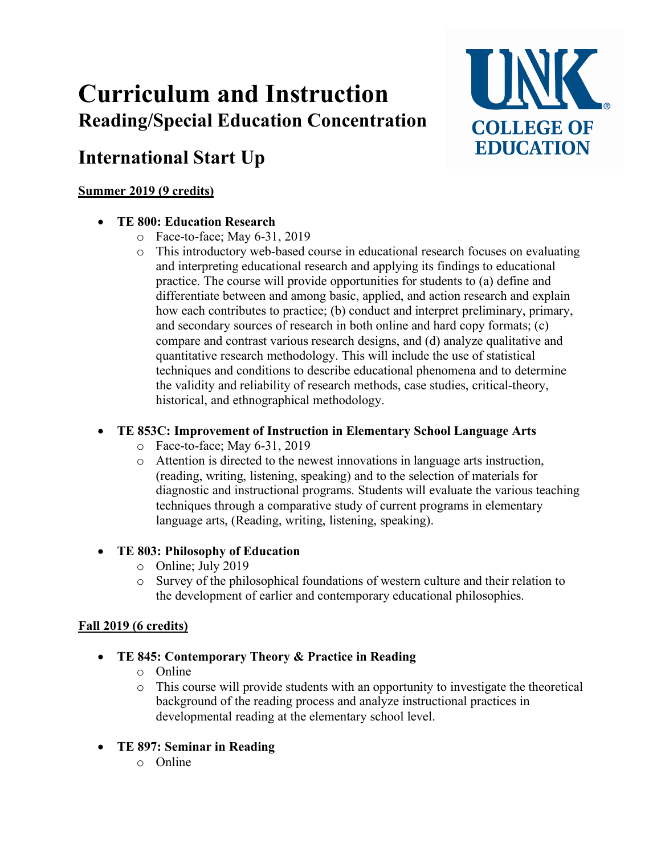# **Curriculum and Instruction Reading/Special Education Concentration**

# **International Start Up**

## **Summer 2019 (9 credits)**

## • **TE 800: Education Research**

- o Face-to-face; May 6-31, 2019
- o This introductory web-based course in educational research focuses on evaluating and interpreting educational research and applying its findings to educational practice. The course will provide opportunities for students to (a) define and differentiate between and among basic, applied, and action research and explain how each contributes to practice; (b) conduct and interpret preliminary, primary, and secondary sources of research in both online and hard copy formats; (c) compare and contrast various research designs, and (d) analyze qualitative and quantitative research methodology. This will include the use of statistical techniques and conditions to describe educational phenomena and to determine the validity and reliability of research methods, case studies, critical-theory, historical, and ethnographical methodology.

UNK

**COLLEGE OF EDUCATION** 

# • **TE 853C: Improvement of Instruction in Elementary School Language Arts**

- o Face-to-face; May 6-31, 2019
- o Attention is directed to the newest innovations in language arts instruction, (reading, writing, listening, speaking) and to the selection of materials for diagnostic and instructional programs. Students will evaluate the various teaching techniques through a comparative study of current programs in elementary language arts, (Reading, writing, listening, speaking).

# • **TE 803: Philosophy of Education**

- o Online; July 2019
- o Survey of the philosophical foundations of western culture and their relation to the development of earlier and contemporary educational philosophies.

# **Fall 2019 (6 credits)**

- **TE 845: Contemporary Theory & Practice in Reading**
	- o Online
	- o This course will provide students with an opportunity to investigate the theoretical background of the reading process and analyze instructional practices in developmental reading at the elementary school level.
- **TE 897: Seminar in Reading**
	- o Online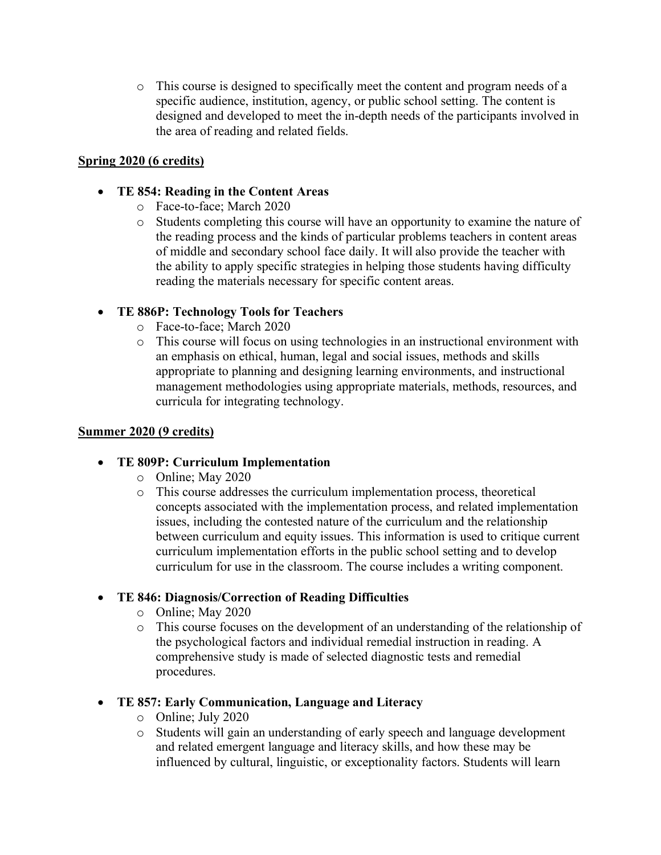o This course is designed to specifically meet the content and program needs of a specific audience, institution, agency, or public school setting. The content is designed and developed to meet the in-depth needs of the participants involved in the area of reading and related fields.

#### **Spring 2020 (6 credits)**

#### • **TE 854: Reading in the Content Areas**

- o Face-to-face; March 2020
- o Students completing this course will have an opportunity to examine the nature of the reading process and the kinds of particular problems teachers in content areas of middle and secondary school face daily. It will also provide the teacher with the ability to apply specific strategies in helping those students having difficulty reading the materials necessary for specific content areas.

#### • **TE 886P: Technology Tools for Teachers**

- o Face-to-face; March 2020
- o This course will focus on using technologies in an instructional environment with an emphasis on ethical, human, legal and social issues, methods and skills appropriate to planning and designing learning environments, and instructional management methodologies using appropriate materials, methods, resources, and curricula for integrating technology.

#### **Summer 2020 (9 credits)**

#### • **TE 809P: Curriculum Implementation**

- o Online; May 2020
- o This course addresses the curriculum implementation process, theoretical concepts associated with the implementation process, and related implementation issues, including the contested nature of the curriculum and the relationship between curriculum and equity issues. This information is used to critique current curriculum implementation efforts in the public school setting and to develop curriculum for use in the classroom. The course includes a writing component.

#### • **TE 846: Diagnosis/Correction of Reading Difficulties**

- o Online; May 2020
- o This course focuses on the development of an understanding of the relationship of the psychological factors and individual remedial instruction in reading. A comprehensive study is made of selected diagnostic tests and remedial procedures.
- **TE 857: Early Communication, Language and Literacy**
	- o Online; July 2020
	- o Students will gain an understanding of early speech and language development and related emergent language and literacy skills, and how these may be influenced by cultural, linguistic, or exceptionality factors. Students will learn